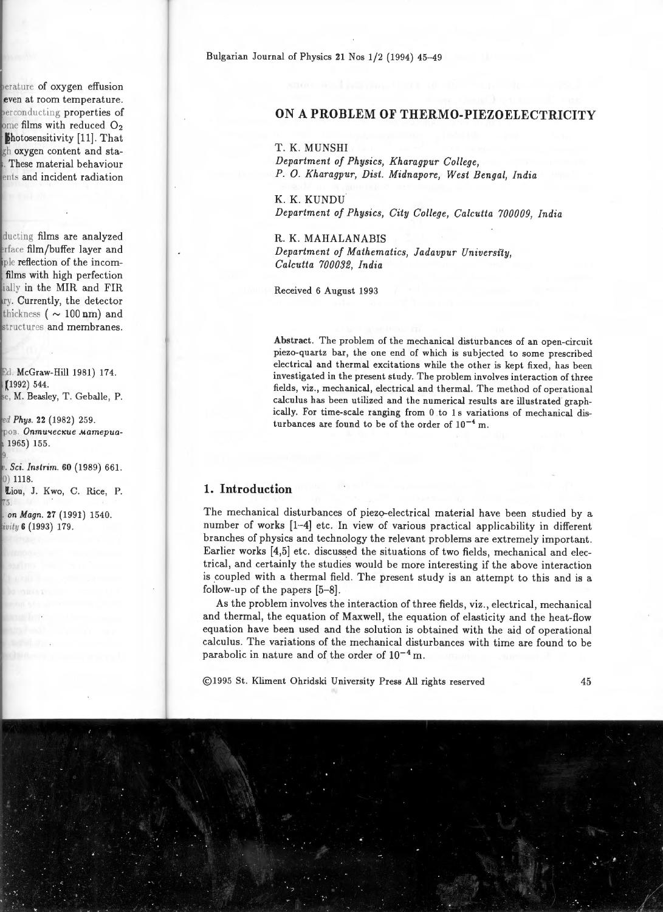# ON A **PROBLEM OF THERMO-PIEZOELECTRICITY**

T. K. MUNSHI

*Department of Physics, Kharagpur College, P.* 0. *Kharagpur, Dist. Midnapore, West Bengal, India* 

K. K. KUNDU *Department of Physics, City College, Calcutta 700009, India* 

R. K. MAHALANABIS *Department of Mathematics, Jadavpur University, Calcutta 700032, India* 

Received 6 August 1993

Abstract. The problem of the mechanical disturbances of an open-circuit piezo-quartz bar, the one end of which is subjected to some prescribed electrical and thermal excitations while the other is kept fixed, has been investigated in the present study. The problem involves interaction of three fields, viz., mechanical, electrical and thermal. The method of operational calculus has been utilized and the numerical results are illustrated graphically. For time-scale ranging from 0 to 1 s variations of mechanical disturbances are found to be of the order of  $10^{-4}$  m.

### **1. Introduction**

The mechanical disturbances of piezo-electrical material have been studied by a number of works [1-4] etc. In view of various practical applicability in different branches of physics and technology the relevant problems are extremely important. Earlier works [4,5] etc. discussed the situations of two fields, mechanical and electrical, and certainly the studies would be more interesting if the above interaction is coupled with a thermal field. The present study is an attempt to this and is a follow-up of the papers  $[5-8]$ .

As the problem involves the interaction of three fields, viz., electrical, mechanical and thermal, the equation of Maxwell, the equation of elasticity and the heat-flow equation have been used and the solution is obtained with the aid of operational calculus. The variations of the mechanical disturbances with time are found to be parabolic in nature and of the order of  $10^{-4}$  m.

@1995 St. Kliment Ohridski University Press All rights reserved 45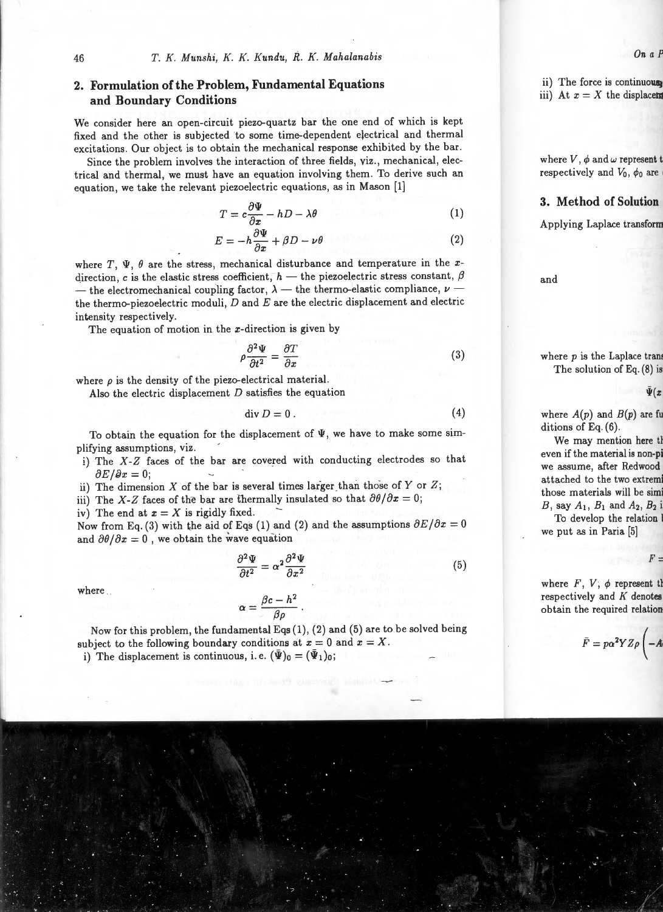# **2. Formulation of the Problem, Fundamental Equations and Boundary Conditions**

We consider here an open-circuit piezo-quartz bar the one end of which is kept fixed and the other is subjected to some time-dependent electrical and thermal excitations. Our object is to obtain the mechanical response exhibited by the bar.

Since the problem involves the interaction of three fields, viz., mechanical, electrical and thermal, we must have an equation involving them. To derive such an equation, we take the relevant piezoelectric equations, as in Mason [1]

$$
T = c\frac{\partial \Psi}{\partial x} - hD - \lambda \theta \tag{1}
$$

$$
E = -h\frac{\partial \Psi}{\partial x} + \beta D - \nu \theta \tag{2}
$$

where  $T$ ,  $\Psi$ ,  $\theta$  are the stress, mechanical disturbance and temperature in the *x*direction, c is the elastic stress coefficient,  $h$  - the piezoelectric stress constant,  $\beta$ - the electromechanical coupling factor,  $\lambda$  - the thermo-elastic compliance,  $\nu$  the thermo-piezoelectric moduli, *D* and *E* are the electric displacement and electric intensity respectively.

The equation of motion in the  $x$ -direction is given by

$$
\rho \frac{\partial^2 \Psi}{\partial t^2} = \frac{\partial T}{\partial x} \tag{3}
$$

where  $\rho$  is the density of the piezo-electrical material.

Also the electric displacement  $D$  satisfies the equation

$$
\operatorname{div} D = 0. \tag{4}
$$

To obtain the equation for the displacement of  $\Psi$ , we have to make some simplifying assumptions, viz.

- i) The *X-Z* faces of the bar are covered with conducting electrodes so that  $\partial E/\partial x = 0$ ;
- ii) The dimension  $X$  of the bar is several times larger than those of  $Y$  or  $Z$ ;
- iii) The *X-Z* faces of the bar are thermally insulated so that  $\partial \theta / \partial x = 0$ ;
- iv) The end at  $x = X$  is rigidly fixed.

Now from Eq. (3) with the aid of Eqs (1) and (2) and the assumptions  $\partial E/\partial x = 0$ and  $\partial \theta / \partial x = 0$ , we obtain the wave equation

$$
\frac{\partial^2 \Psi}{\partial t^2} = \alpha^2 \frac{\partial^2 \Psi}{\partial x^2} \tag{5}
$$

where

$$
\alpha = \frac{\beta c - h^2}{\beta \rho} \, .
$$

Now for this problem, the fundamental Eqs (1), (2) and (5) are to be solved being subject to the following boundary conditions at  $x = 0$  and  $x = X$ .

i) The displacement is continuous, i.e.  $(\bar{\Psi})_0 = (\bar{\Psi}_1)_0$ ;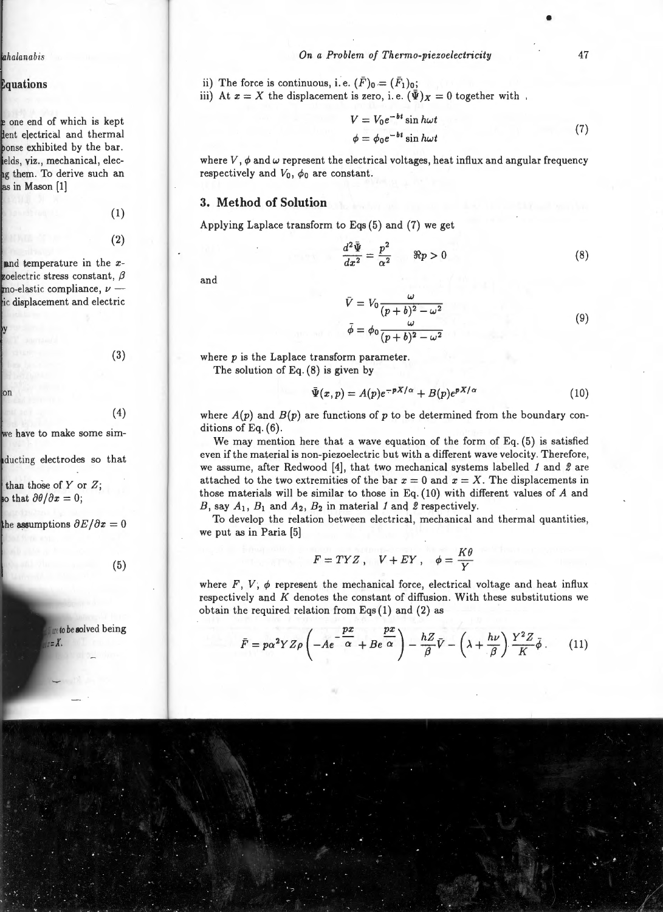ii) The force is continuous, i.e.  $(\bar{F})_0 = (\bar{F}_1)_0$ ;

iii) At  $x = X$  the displacement is zero, i.e.  $(\bar{\Psi})_X = 0$  together with

$$
V = V_0 e^{-bt} \sin h\omega t
$$
  
\n
$$
\phi = \phi_0 e^{-bt} \sin h\omega t
$$
\n(7)

where  $V, \phi$  and  $\omega$  represent the electrical voltages, heat influx and angular frequency respectively and  $V_0$ ,  $\phi_0$  are constant.

## **3. Method of Solution**

Applying Laplace transform to Eqs (5) and (7) we get

$$
\frac{d^2\bar{\Psi}}{dx^2} = \frac{p^2}{\alpha^2} \qquad \Re p > 0 \tag{8}
$$

and

$$
\bar{V} = V_0 \frac{\omega}{(p+b)^2 - \omega^2}
$$
  
\n
$$
\bar{\phi} = \phi_0 \frac{\omega}{(p+b)^2 - \omega^2}
$$
\n(9)

where  $p$  is the Laplace transform parameter.

The solution of Eq. (8) is given by

$$
\bar{\Psi}(x,p) = A(p)e^{-pX/\alpha} + B(p)e^{pX/\alpha} \tag{10}
$$

where  $A(p)$  and  $B(p)$  are functions of p to be determined from the boundary conditions of Eq. (6).

We may mention here that a wave equation of the form of Eq. (5) is satisfied even if the material is non-piezoelectric but with a different wave velocity. Therefore, we assume, after Redwood (4], that two mechanical systems labelled *1* and *2* are attached to the two extremities of the bar  $x = 0$  and  $x = X$ . The displacements in those materials will be similar to those in Eq. (10) with different values of *A* and *B*, say  $A_1$ ,  $B_1$  and  $A_2$ ,  $B_2$  in material *1* and *2* respectively.

To develop the relation between electrical, mechanical and thermal quantities, we put as in Paria (5]

$$
F = TYZ \,, \quad V + EY \,, \quad \phi = \frac{K\theta}{Y}
$$

where  $F$ ,  $V$ ,  $\phi$  represent the mechanical force, electrical voltage and heat influx respectively and *K* denotes the constant of diffusion. With these substitutions we obtain the required relation from Eqs (1) and (2) *as* 

$$
\bar{F} = p\alpha^2 Y Z \rho \left( -A e^{-\frac{px}{\alpha}} + B e^{-\frac{px}{\alpha}} \right) - \frac{hZ}{\beta} \bar{V} - \left( \lambda + \frac{h\nu}{\beta} \right) \frac{Y^2 Z}{K} \bar{\phi} \,. \tag{11}
$$

47

•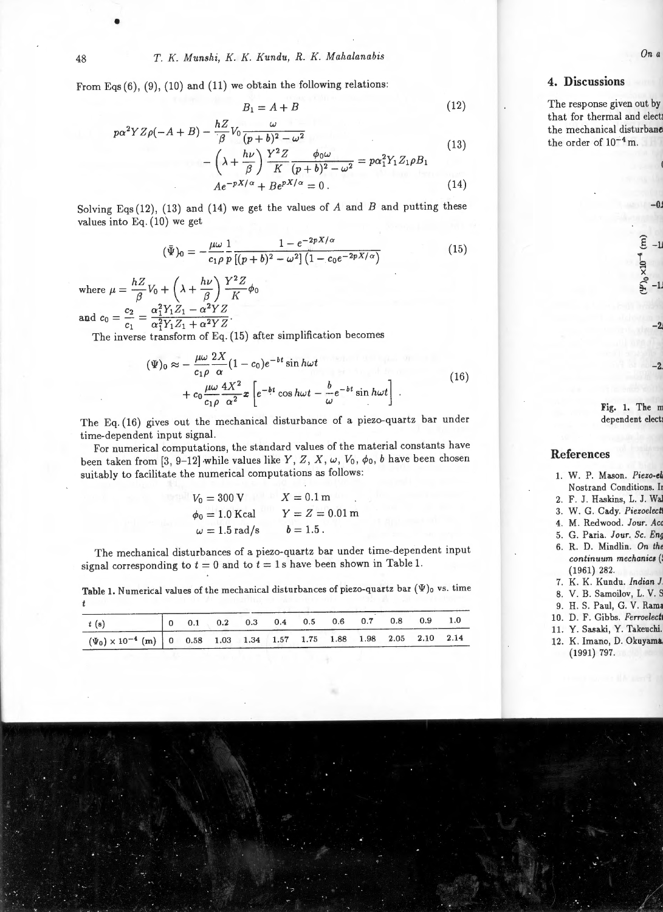From Eqs  $(6)$ ,  $(9)$ ,  $(10)$  and  $(11)$  we obtain the following relations:

$$
B_1 = A + B \tag{12}
$$

$$
p\alpha^{2}YZ\rho(-A+B) - \frac{hZ}{\beta}V_{0}\frac{\omega}{(p+b)^{2} - \omega^{2}} - \left(\lambda + \frac{h\nu}{\beta}\right)\frac{Y^{2}Z}{K}\frac{\phi_{0}\omega}{(p+b)^{2} - \omega^{2}} = p\alpha_{1}^{2}Y_{1}Z_{1}\rho B_{1}
$$
\n
$$
Ae^{-pX/\alpha} + Be^{pX/\alpha} = 0.
$$
\n(14)

Solving Eqs (12), (13) and (14) we get the values of  $A$  and  $B$  and putting these values into Eq. (10) we get

$$
(\bar{\Psi})_0 = -\frac{\mu\omega}{c_1\rho} \frac{1}{p} \frac{1 - e^{-2pX/\alpha}}{[(p+b)^2 - \omega^2] \left(1 - c_0 e^{-2pX/\alpha}\right)} \tag{15}
$$

where  $\mu = \frac{hZ}{\beta}V_0 + \left(\lambda + \frac{h\nu}{\beta}\right)\frac{Y^2Z}{K}\phi_0$  $c_2 \alpha_1^2 Y_1 Z_1 - \alpha^2 Y Z$ and  $c_0 = \frac{c_2}{c_1} = \frac{1}{\alpha^2 Y_1 Z_1 + \alpha^2 Y Z}$ .

The inverse transform of Eq. (15) after simplification becomes

$$
(\Psi)_0 \approx -\frac{\mu\omega}{c_1\rho} \frac{2X}{\alpha} (1-c_0)e^{-bt} \sin h\omega t + c_0 \frac{\mu\omega}{c_1\rho} \frac{4X^2}{\alpha^2} x \left[ e^{-bt} \cos h\omega t - \frac{b}{\omega} e^{-bt} \sin h\omega t \right].
$$
 (16)

The Eq. (16) gives out the mechanical disturbance of a piezo-quartz bar under time-dependent input signal.

For numerical computations, the standard values of the material constants have been taken from [3, 9-12] while values like *Y*, *Z*, *X*,  $\omega$ ,  $V_0$ ,  $\phi_0$ , *b* have been chosen suitably to facilitate the numerical computations as follows:

| $V_0 = 300 V$        | $X = 0.1$ m      |  |  |  |  |  |  |
|----------------------|------------------|--|--|--|--|--|--|
| $\phi_0 = 1.0$ Kcal  | $Y = Z = 0.01$ m |  |  |  |  |  |  |
| $\omega = 1.5$ rad/s | $b = 1.5$ .      |  |  |  |  |  |  |

The mechanical disturbances of a piezo-quartz bar under time-dependent input signal corresponding to  $t = 0$  and to  $t = 1$  s have been shown in Table 1.

Table 1. Numerical values of the mechanical disturbances of piezo-quartz bar  $(\Psi)$ o vs. time *t* 

| t(s)                                                                              |  |  |  | $\begin{array}{cccccccc} \n\begin{array}{ccccccccccc}\n0 & 0.1 & 0.2 & 0.3 & 0.4 & 0.5 & 0.6 & 0.7 & 0.8 & 0.9 & 1.0\n\end{array}\n\end{array}$ |  |  |
|-----------------------------------------------------------------------------------|--|--|--|-------------------------------------------------------------------------------------------------------------------------------------------------|--|--|
| $(\Psi_0) \times 10^{-4}$ (m) 0 0.58 1.03 1.34 1.57 1.75 1.88 1.98 2.05 2.10 2.14 |  |  |  |                                                                                                                                                 |  |  |

•